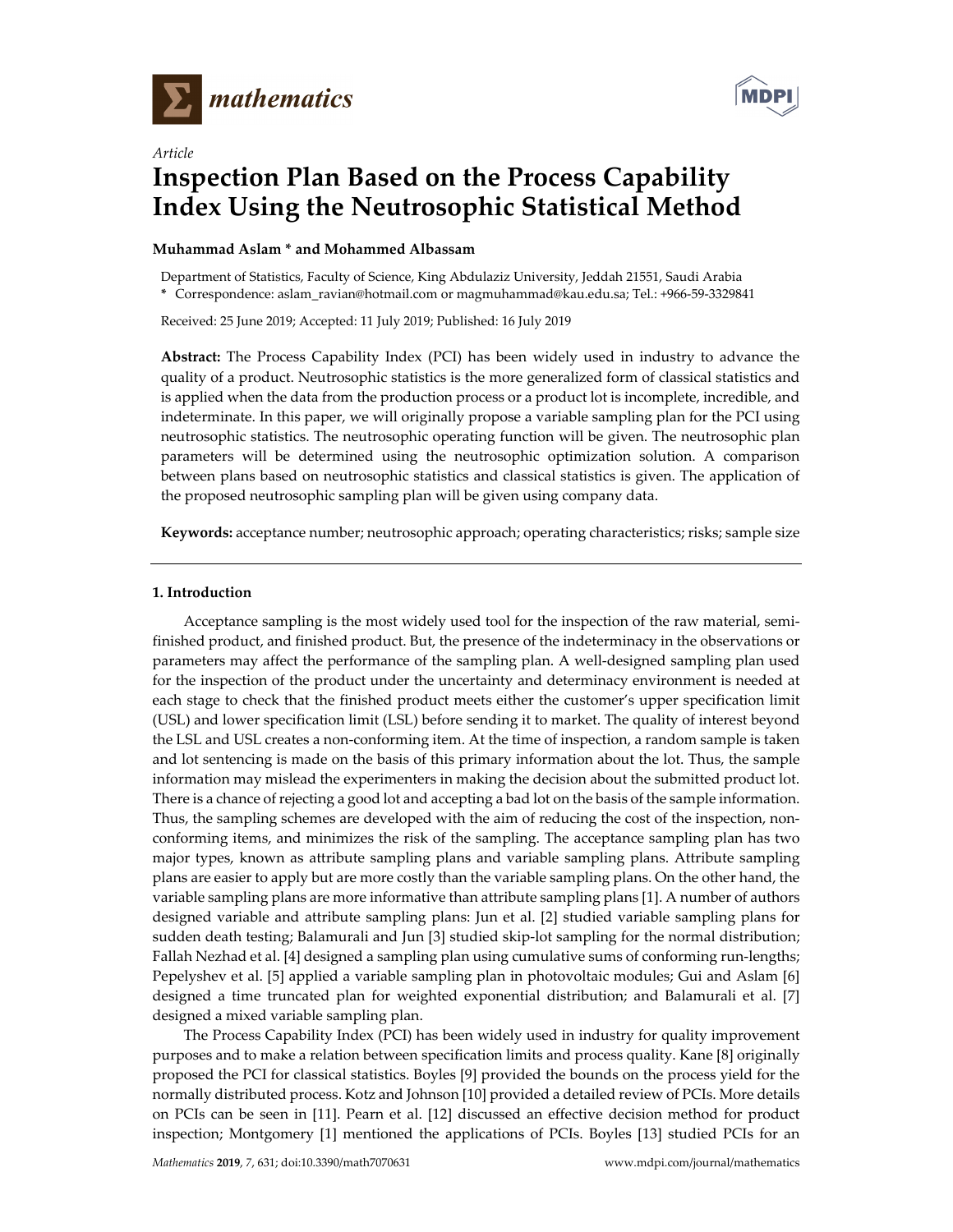



# *Article*  **Inspection Plan Based on the Process Capability Index Using the Neutrosophic Statistical Method**

# **Muhammad Aslam \* and Mohammed Albassam**

Department of Statistics, Faculty of Science, King Abdulaziz University, Jeddah 21551, Saudi Arabia **\*** Correspondence: aslam\_ravian@hotmail.com or magmuhammad@kau.edu.sa; Tel.: +966-59-3329841

Received: 25 June 2019; Accepted: 11 July 2019; Published: 16 July 2019

**Abstract:** The Process Capability Index (PCI) has been widely used in industry to advance the quality of a product. Neutrosophic statistics is the more generalized form of classical statistics and is applied when the data from the production process or a product lot is incomplete, incredible, and indeterminate. In this paper, we will originally propose a variable sampling plan for the PCI using neutrosophic statistics. The neutrosophic operating function will be given. The neutrosophic plan parameters will be determined using the neutrosophic optimization solution. A comparison between plans based on neutrosophic statistics and classical statistics is given. The application of the proposed neutrosophic sampling plan will be given using company data.

**Keywords:** acceptance number; neutrosophic approach; operating characteristics; risks; sample size

## **1. Introduction**

Acceptance sampling is the most widely used tool for the inspection of the raw material, semifinished product, and finished product. But, the presence of the indeterminacy in the observations or parameters may affect the performance of the sampling plan. A well-designed sampling plan used for the inspection of the product under the uncertainty and determinacy environment is needed at each stage to check that the finished product meets either the customer's upper specification limit (USL) and lower specification limit (LSL) before sending it to market. The quality of interest beyond the LSL and USL creates a non-conforming item. At the time of inspection, a random sample is taken and lot sentencing is made on the basis of this primary information about the lot. Thus, the sample information may mislead the experimenters in making the decision about the submitted product lot. There is a chance of rejecting a good lot and accepting a bad lot on the basis of the sample information. Thus, the sampling schemes are developed with the aim of reducing the cost of the inspection, nonconforming items, and minimizes the risk of the sampling. The acceptance sampling plan has two major types, known as attribute sampling plans and variable sampling plans. Attribute sampling plans are easier to apply but are more costly than the variable sampling plans. On the other hand, the variable sampling plans are more informative than attribute sampling plans [1]. A number of authors designed variable and attribute sampling plans: Jun et al. [2] studied variable sampling plans for sudden death testing; Balamurali and Jun [3] studied skip-lot sampling for the normal distribution; Fallah Nezhad et al. [4] designed a sampling plan using cumulative sums of conforming run-lengths; Pepelyshev et al. [5] applied a variable sampling plan in photovoltaic modules; Gui and Aslam [6] designed a time truncated plan for weighted exponential distribution; and Balamurali et al. [7] designed a mixed variable sampling plan.

The Process Capability Index (PCI) has been widely used in industry for quality improvement purposes and to make a relation between specification limits and process quality. Kane [8] originally proposed the PCI for classical statistics. Boyles [9] provided the bounds on the process yield for the normally distributed process. Kotz and Johnson [10] provided a detailed review of PCIs. More details on PCIs can be seen in [11]. Pearn et al. [12] discussed an effective decision method for product inspection; Montgomery [1] mentioned the applications of PCIs. Boyles [13] studied PCIs for an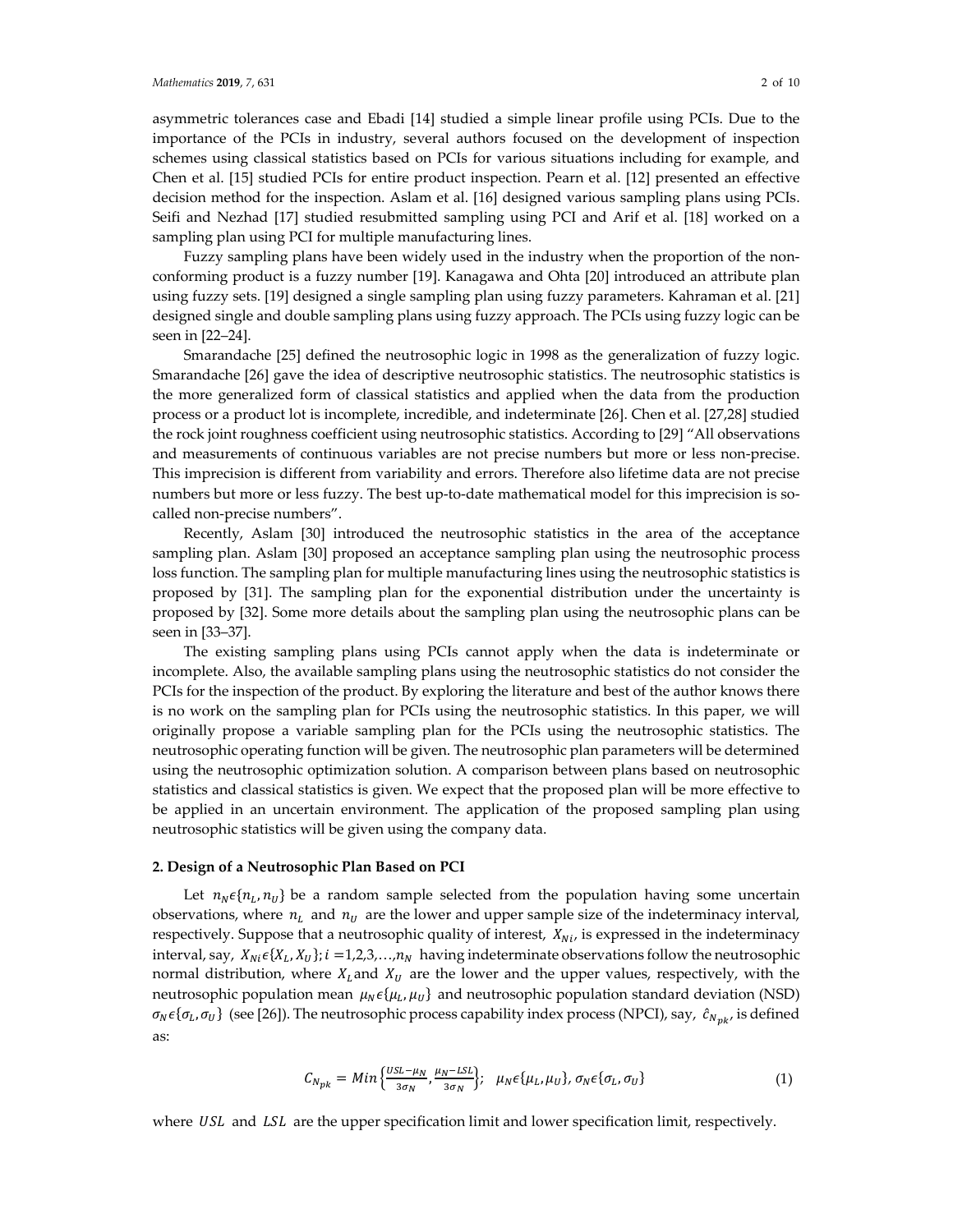asymmetric tolerances case and Ebadi [14] studied a simple linear profile using PCIs. Due to the importance of the PCIs in industry, several authors focused on the development of inspection schemes using classical statistics based on PCIs for various situations including for example, and Chen et al. [15] studied PCIs for entire product inspection. Pearn et al. [12] presented an effective decision method for the inspection. Aslam et al. [16] designed various sampling plans using PCIs. Seifi and Nezhad [17] studied resubmitted sampling using PCI and Arif et al. [18] worked on a sampling plan using PCI for multiple manufacturing lines.

Fuzzy sampling plans have been widely used in the industry when the proportion of the nonconforming product is a fuzzy number [19]. Kanagawa and Ohta [20] introduced an attribute plan using fuzzy sets. [19] designed a single sampling plan using fuzzy parameters. Kahraman et al. [21] designed single and double sampling plans using fuzzy approach. The PCIs using fuzzy logic can be seen in [22–24].

Smarandache [25] defined the neutrosophic logic in 1998 as the generalization of fuzzy logic. Smarandache [26] gave the idea of descriptive neutrosophic statistics. The neutrosophic statistics is the more generalized form of classical statistics and applied when the data from the production process or a product lot is incomplete, incredible, and indeterminate [26]. Chen et al. [27,28] studied the rock joint roughness coefficient using neutrosophic statistics. According to [29] "All observations and measurements of continuous variables are not precise numbers but more or less non-precise. This imprecision is different from variability and errors. Therefore also lifetime data are not precise numbers but more or less fuzzy. The best up-to-date mathematical model for this imprecision is socalled non-precise numbers".

Recently, Aslam [30] introduced the neutrosophic statistics in the area of the acceptance sampling plan. Aslam [30] proposed an acceptance sampling plan using the neutrosophic process loss function. The sampling plan for multiple manufacturing lines using the neutrosophic statistics is proposed by [31]. The sampling plan for the exponential distribution under the uncertainty is proposed by [32]. Some more details about the sampling plan using the neutrosophic plans can be seen in [33–37].

The existing sampling plans using PCIs cannot apply when the data is indeterminate or incomplete. Also, the available sampling plans using the neutrosophic statistics do not consider the PCIs for the inspection of the product. By exploring the literature and best of the author knows there is no work on the sampling plan for PCIs using the neutrosophic statistics. In this paper, we will originally propose a variable sampling plan for the PCIs using the neutrosophic statistics. The neutrosophic operating function will be given. The neutrosophic plan parameters will be determined using the neutrosophic optimization solution. A comparison between plans based on neutrosophic statistics and classical statistics is given. We expect that the proposed plan will be more effective to be applied in an uncertain environment. The application of the proposed sampling plan using neutrosophic statistics will be given using the company data.

## **2. Design of a Neutrosophic Plan Based on PCI**

Let  $n_N \epsilon \{n_L, n_U\}$  be a random sample selected from the population having some uncertain observations, where  $n<sub>L</sub>$  and  $n<sub>U</sub>$  are the lower and upper sample size of the indeterminacy interval, respectively. Suppose that a neutrosophic quality of interest,  $X_{Ni}$ , is expressed in the indeterminacy interval, say,  $X_{Ni} \in \{X_L, X_U\}$ ;  $i = 1, 2, 3, ..., n_N$  having indeterminate observations follow the neutrosophic normal distribution, where  $X_L$  and  $X_U$  are the lower and the upper values, respectively, with the neutrosophic population mean  $\mu_N \epsilon \{ \mu_L, \mu_U \}$  and neutrosophic population standard deviation (NSD)  $\sigma_N \epsilon \{\sigma_L, \sigma_U\}$  (see [26]). The neutrosophic process capability index process (NPCI), say,  $\hat{c}_{N_n k'}$  is defined as:

$$
C_{N_{pk}} = Min \left\{ \frac{USL - \mu_N}{3\sigma_N}, \frac{\mu_N - LSL}{3\sigma_N} \right\}; \quad \mu_N \epsilon \{\mu_L, \mu_U\}, \sigma_N \epsilon \{\sigma_L, \sigma_U\}
$$
 (1)

where  $USL$  and  $LSL$  are the upper specification limit and lower specification limit, respectively.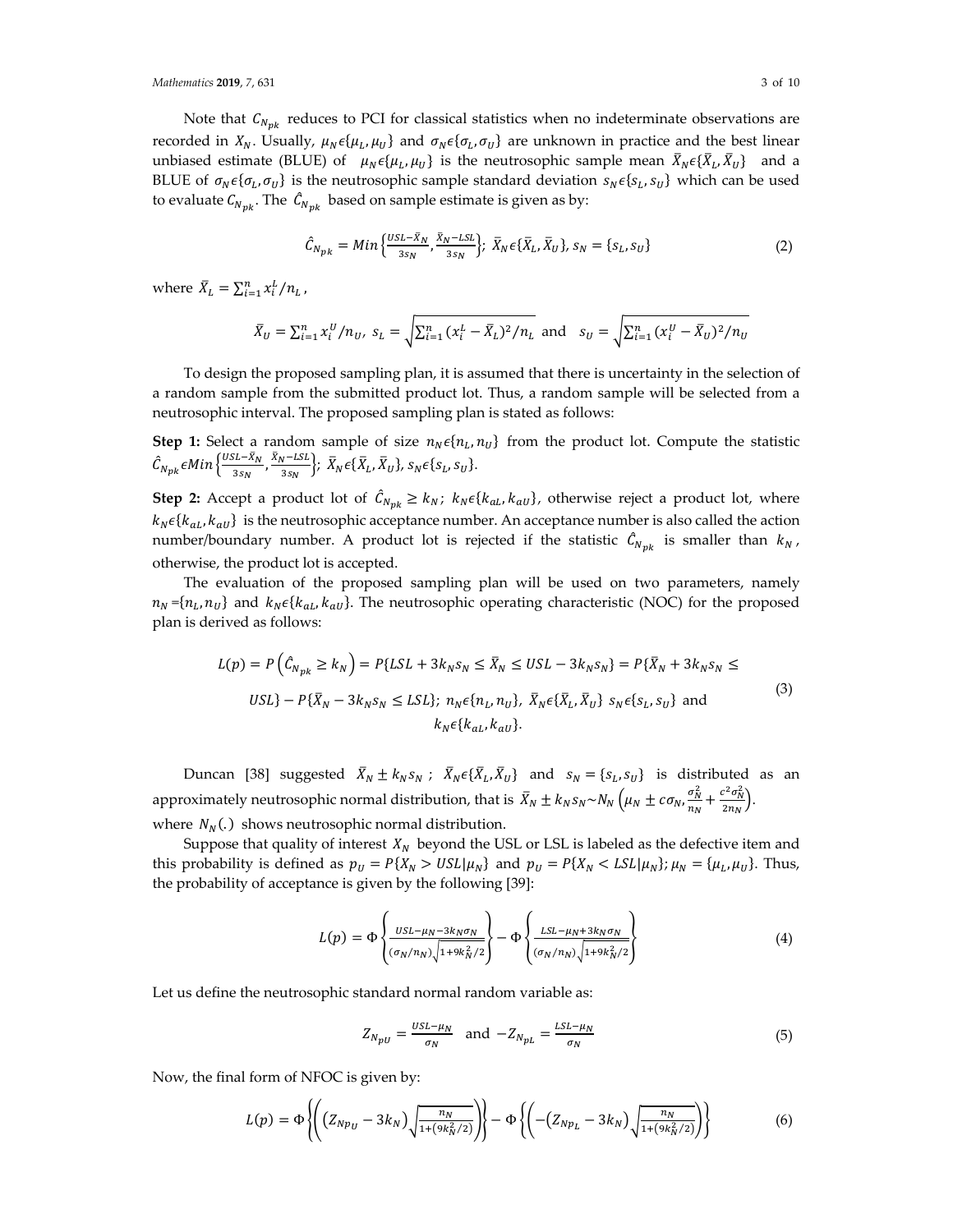Note that  $C_{N_{nk}}$  reduces to PCI for classical statistics when no indeterminate observations are recorded in  $X_N$ . Usually,  $\mu_N \epsilon {\mu_L}, \mu_U$  and  $\sigma_N \epsilon {\sigma_L}, \sigma_U$  are unknown in practice and the best linear unbiased estimate (BLUE) of  $\mu_N \epsilon \{\mu_L, \mu_U\}$  is the neutrosophic sample mean  $\bar{X}_N \epsilon \{\bar{X}_L, \bar{X}_U\}$  and a BLUE of  $\sigma_N \epsilon \{\sigma_L, \sigma_U\}$  is the neutrosophic sample standard deviation  $s_N \epsilon \{s_L, s_U\}$  which can be used to evaluate  $C_{N_{pk}}$ . The  $\hat{C}_{N_{pk}}$  based on sample estimate is given as by:

$$
\hat{C}_{N_{pk}} = Min \left\{ \frac{USL - \bar{X}_N}{3s_N}, \frac{\bar{X}_N - LSL}{3s_N} \right\}; \ \bar{X}_N \epsilon \{ \bar{X}_L, \bar{X}_U \}, \ s_N = \{ s_L, s_U \}
$$
 (2)

where  $\bar{X}_L = \sum_{i=1}^n x_i^L / n_L$ ,

$$
\bar{X}_U = \sum_{i=1}^n x_i^U / n_U, \ s_L = \sqrt{\sum_{i=1}^n (x_i^L - \bar{X}_L)^2 / n_L} \ \text{and} \ \ s_U = \sqrt{\sum_{i=1}^n (x_i^U - \bar{X}_U)^2 / n_U}
$$

To design the proposed sampling plan, it is assumed that there is uncertainty in the selection of a random sample from the submitted product lot. Thus, a random sample will be selected from a neutrosophic interval. The proposed sampling plan is stated as follows:

**Step 1:** Select a random sample of size  $n_N \in \{n_L, n_U\}$  from the product lot. Compute the statistic  $\hat{C}_{N_{pk}} \epsilon Min \left\{ \frac{USL-\bar{X}_N}{3s_N}, \frac{\bar{X}_N - LSL}{3s_N} \right\}$  $\frac{\partial S_N}{\partial s_N}$ ;  $\bar{X}_N \epsilon \{ \bar{X}_L, \bar{X}_U \}$ ,  $S_N \epsilon \{ s_L, s_U \}$ .

**Step 2:** Accept a product lot of  $\hat{C}_{N_{pk}} \ge k_N$ ;  $k_N \in \{k_{aL}, k_{aU}\}$ , otherwise reject a product lot, where  $k_N \epsilon \{k_{aL}, k_{aU}\}\$ is the neutrosophic acceptance number. An acceptance number is also called the action number/boundary number. A product lot is rejected if the statistic  $\hat{C}_{N_{pk}}$  is smaller than  $k_N$ , otherwise, the product lot is accepted.

The evaluation of the proposed sampling plan will be used on two parameters, namely  $n_N = {n_L, n_U}$  and  $k_N \in \{k_{aL}, k_{aU}\}\$ . The neutrosophic operating characteristic (NOC) for the proposed plan is derived as follows:

$$
L(p) = P\left(\hat{C}_{N_{pk}} \ge k_N\right) = P\{LSL + 3k_N s_N \le \bar{X}_N \le USL - 3k_N s_N\} = P\{\bar{X}_N + 3k_N s_N \le USL\} - P\{\bar{X}_N - 3k_N s_N \le LSL\};\ n_N \in \{n_L, n_U\},\ \bar{X}_N \in \{\bar{X}_L, \bar{X}_U\}\ s_N \in \{s_L, s_U\} \text{ and }
$$
\n
$$
k_N \in \{k_{aL}, k_{aU}\}.
$$
\n
$$
(3)
$$

Duncan [38] suggested  $\bar{X}_N \pm k_N s_N$ ;  $\bar{X}_N \in {\bar{X}_L}, \bar{X}_U$ } and  $s_N = {s_L, s_U}$  is distributed as an approximately neutrosophic normal distribution, that is  $\bar{X}_N \pm k_N s_N \sim N_N \left(\mu_N \pm c \sigma_N, \frac{\sigma_N^2}{n_N} \right)$  $\frac{\sigma_N^2}{n_N} + \frac{c^2 \sigma_N^2}{2n_N}$  $\frac{\sigma_N}{2n_N}$ . where  $N_N(.)$  shows neutrosophic normal distribution.

Suppose that quality of interest  $X_N$  beyond the USL or LSL is labeled as the defective item and this probability is defined as  $p_U = P\{X_N > USL | \mu_N\}$  and  $p_U = P\{X_N < LSL | \mu_N\}$ ;  $\mu_N = \{\mu_L, \mu_U\}$ . Thus, the probability of acceptance is given by the following [39]:

$$
L(p) = \Phi \left\{ \frac{USL - \mu_N - 3k_N \sigma_N}{(\sigma_N/n_N) \sqrt{1 + 9k_N^2/2}} \right\} - \Phi \left\{ \frac{LSL - \mu_N + 3k_N \sigma_N}{(\sigma_N/n_N) \sqrt{1 + 9k_N^2/2}} \right\}
$$
(4)

Let us define the neutrosophic standard normal random variable as:

$$
Z_{N_{p}U} = \frac{USL - \mu_N}{\sigma_N} \quad \text{and} \quad -Z_{N_{p}L} = \frac{LSL - \mu_N}{\sigma_N} \tag{5}
$$

Now, the final form of NFOC is given by:

$$
L(p) = \Phi\left\{ \left( \left( Z_{Np_U} - 3k_N \right) \sqrt{\frac{n_N}{1 + (9k_N^2/2)}} \right) \right\} - \Phi\left\{ \left( -\left( Z_{Np_L} - 3k_N \right) \sqrt{\frac{n_N}{1 + (9k_N^2/2)}} \right) \right\} \tag{6}
$$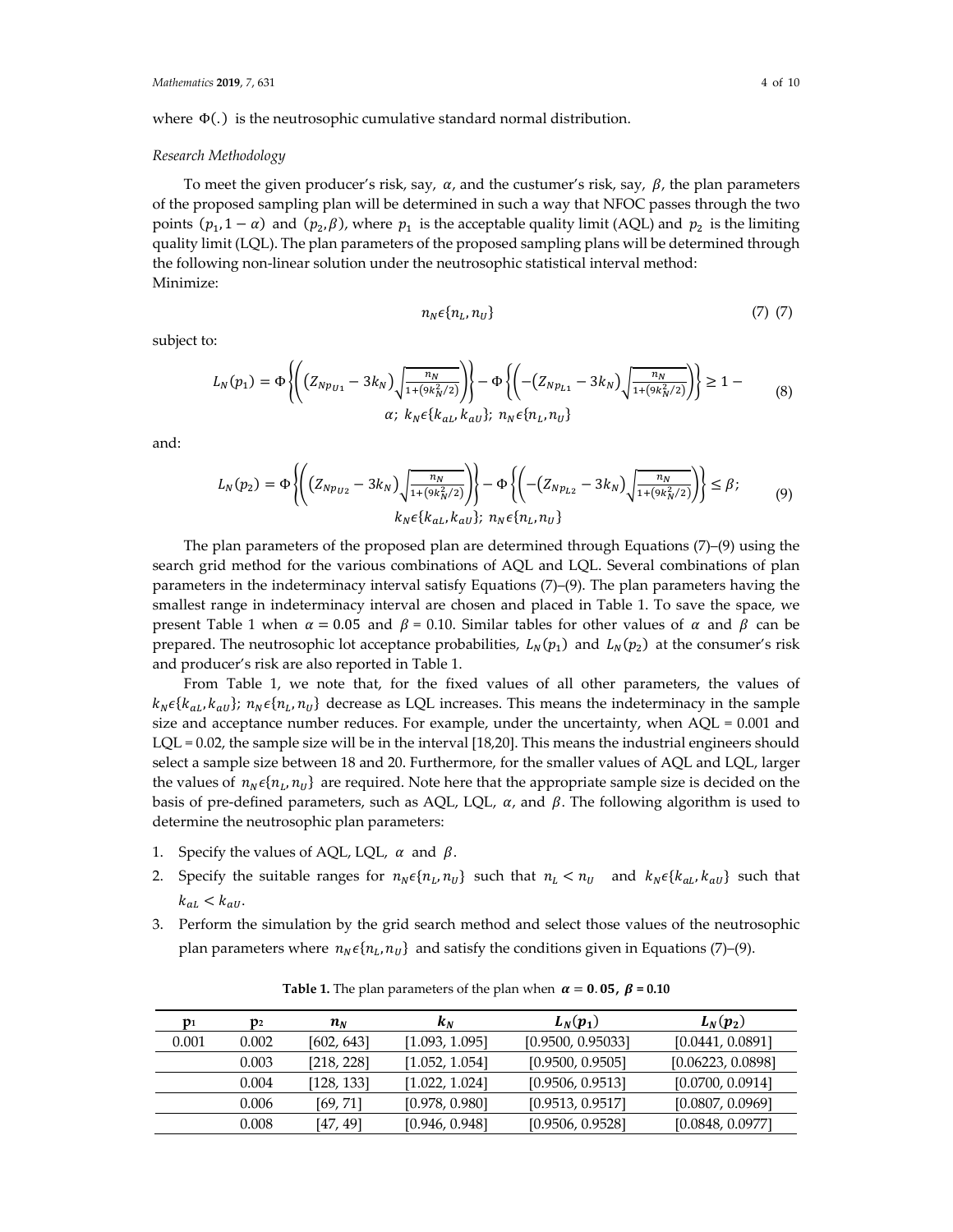where  $\Phi(.)$  is the neutrosophic cumulative standard normal distribution.

#### *Research Methodology*

To meet the given producer's risk, say,  $\alpha$ , and the custumer's risk, say,  $\beta$ , the plan parameters of the proposed sampling plan will be determined in such a way that NFOC passes through the two points  $(p_1, 1-\alpha)$  and  $(p_2, \beta)$ , where  $p_1$  is the acceptable quality limit (AQL) and  $p_2$  is the limiting quality limit (LQL). The plan parameters of the proposed sampling plans will be determined through the following non-linear solution under the neutrosophic statistical interval method: Minimize:

$$
n_N \epsilon \{n_L, n_U\} \tag{7}
$$

subject to:

$$
L_N(p_1) = \Phi\left\{ \left( \left( Z_{Np_{U1}} - 3k_N \right) \sqrt{\frac{n_N}{1 + (9k_N^2/2)}} \right) \right\} - \Phi\left\{ \left( -\left( Z_{Np_{L1}} - 3k_N \right) \sqrt{\frac{n_N}{1 + (9k_N^2/2)}} \right) \right\} \ge 1 - \alpha; \quad (8)
$$

and:

$$
L_N(p_2) = \Phi\left\{ \left( \left( Z_{Np_{U2}} - 3k_N \right) \sqrt{\frac{n_N}{1 + (9k_N^2/2)}} \right) \right\} - \Phi\left\{ \left( -\left( Z_{Np_{L2}} - 3k_N \right) \sqrt{\frac{n_N}{1 + (9k_N^2/2)}} \right) \right\} \le \beta; \tag{9}
$$

The plan parameters of the proposed plan are determined through Equations (7)–(9) using the search grid method for the various combinations of AQL and LQL. Several combinations of plan parameters in the indeterminacy interval satisfy Equations (7)–(9). The plan parameters having the smallest range in indeterminacy interval are chosen and placed in Table 1. To save the space, we present Table 1 when  $\alpha = 0.05$  and  $\beta = 0.10$ . Similar tables for other values of  $\alpha$  and  $\beta$  can be prepared. The neutrosophic lot acceptance probabilities,  $L_N(p_1)$  and  $L_N(p_2)$  at the consumer's risk and producer's risk are also reported in Table 1.

From Table 1, we note that, for the fixed values of all other parameters, the values of  $k_N \in \{k_{al}, k_{all}\}; n_N \in \{n_l, n_l\}$  decrease as LQL increases. This means the indeterminacy in the sample size and acceptance number reduces. For example, under the uncertainty, when AQL = 0.001 and LQL = 0.02, the sample size will be in the interval [18,20]. This means the industrial engineers should select a sample size between 18 and 20. Furthermore, for the smaller values of AQL and LQL, larger the values of  $n_N \epsilon \{n_l, n_{ll}\}\$ are required. Note here that the appropriate sample size is decided on the basis of pre-defined parameters, such as AQL, LQL,  $\alpha$ , and  $\beta$ . The following algorithm is used to determine the neutrosophic plan parameters:

- 1. Specify the values of AQL, LQL,  $\alpha$  and  $\beta$ .
- 2. Specify the suitable ranges for  $n_N \epsilon \{n_L, n_U\}$  such that  $n_L < n_U$  and  $k_N \epsilon \{k_{aL}, k_{aU}\}$  such that  $k_{aL} < k_{aU}$ .
- 3. Perform the simulation by the grid search method and select those values of the neutrosophic plan parameters where  $n_N \epsilon \{n_L, n_U\}$  and satisfy the conditions given in Equations (7)–(9).

| $\mathbf{D}1$ | D2    | $n_N$      | $\kappa_N$     | $L_N(p_1)$        | $L_N(p_2)$        |
|---------------|-------|------------|----------------|-------------------|-------------------|
| 0.001         | 0.002 | [602, 643] | [1.093, 1.095] | [0.9500, 0.95033] | [0.0441, 0.0891]  |
|               | 0.003 | [218, 228] | [1.052, 1.054] | [0.9500, 0.9505]  | [0.06223, 0.0898] |
|               | 0.004 | [128, 133] | [1.022, 1.024] | [0.9506, 0.9513]  | [0.0700, 0.0914]  |
|               | 0.006 | [69, 71]   | [0.978, 0.980] | [0.9513, 0.9517]  | [0.0807, 0.0969]  |
|               | 0.008 | [47, 49]   | [0.946, 0.948] | [0.9506, 0.9528]  | [0.0848, 0.0977]  |

**Table 1.** The plan parameters of the plan when  $\alpha = 0.05$ ,  $\beta = 0.10$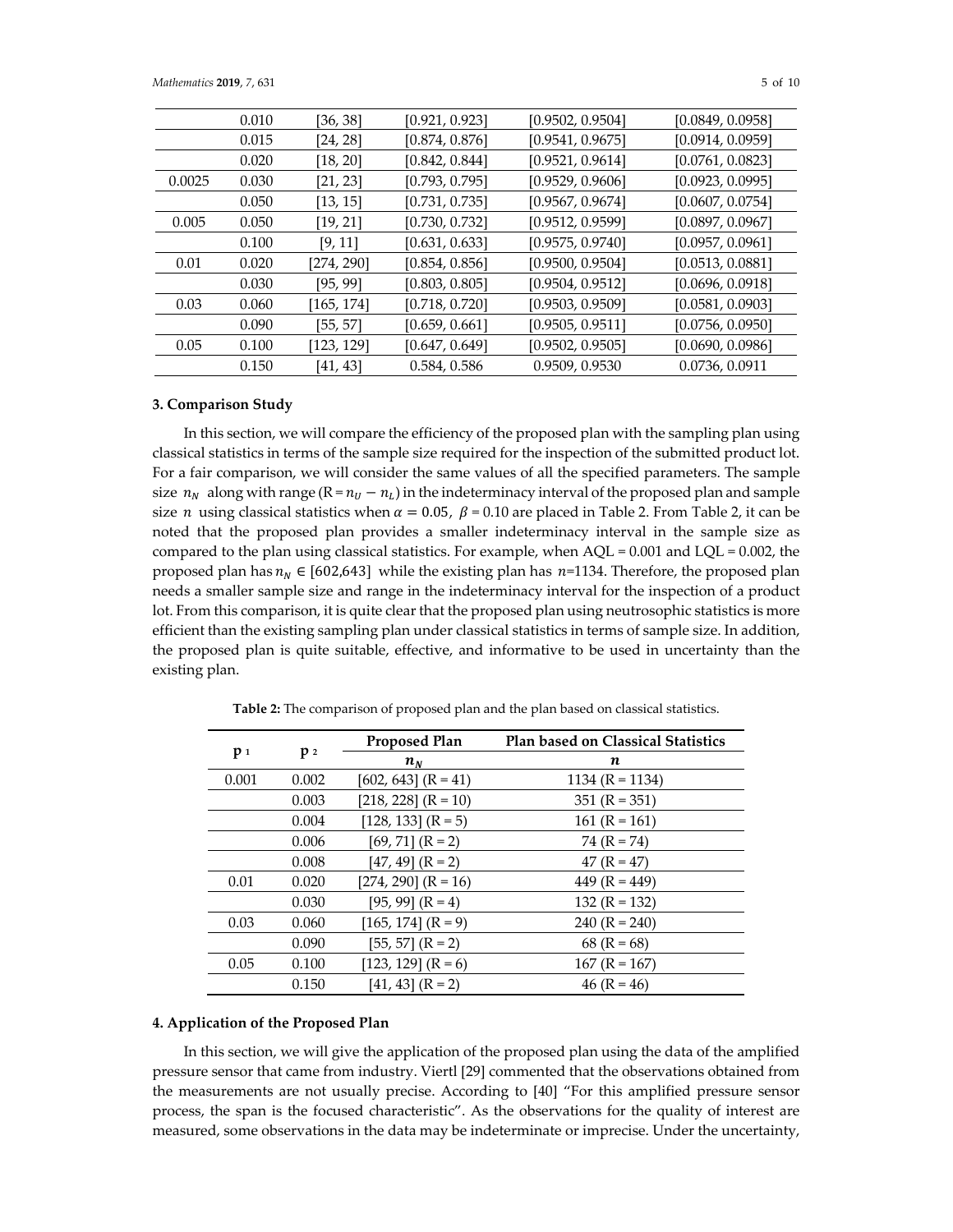|        | 0.010 | [36, 38]   | [0.921, 0.923] | [0.9502, 0.9504] | [0.0849, 0.0958] |
|--------|-------|------------|----------------|------------------|------------------|
|        | 0.015 | [24, 28]   | [0.874, 0.876] | [0.9541, 0.9675] | [0.0914, 0.0959] |
|        | 0.020 | [18, 20]   | [0.842, 0.844] | [0.9521, 0.9614] | [0.0761, 0.0823] |
| 0.0025 | 0.030 | [21, 23]   | [0.793, 0.795] | [0.9529, 0.9606] | [0.0923, 0.0995] |
|        | 0.050 | [13, 15]   | [0.731, 0.735] | [0.9567, 0.9674] | [0.0607, 0.0754] |
| 0.005  | 0.050 | [19, 21]   | [0.730, 0.732] | [0.9512, 0.9599] | [0.0897, 0.0967] |
|        | 0.100 | [9, 11]    | [0.631, 0.633] | [0.9575, 0.9740] | [0.0957, 0.0961] |
| 0.01   | 0.020 | [274, 290] | [0.854, 0.856] | [0.9500, 0.9504] | [0.0513, 0.0881] |
|        | 0.030 | [95, 99]   | [0.803, 0.805] | [0.9504, 0.9512] | [0.0696, 0.0918] |
| 0.03   | 0.060 | [165, 174] | [0.718, 0.720] | [0.9503, 0.9509] | [0.0581, 0.0903] |
|        | 0.090 | [55, 57]   | [0.659, 0.661] | [0.9505, 0.9511] | [0.0756, 0.0950] |
| 0.05   | 0.100 | [123, 129] | [0.647, 0.649] | [0.9502, 0.9505] | [0.0690, 0.0986] |
|        | 0.150 | [41, 43]   | 0.584, 0.586   | 0.9509, 0.9530   | 0.0736, 0.0911   |

#### **3. Comparison Study**

In this section, we will compare the efficiency of the proposed plan with the sampling plan using classical statistics in terms of the sample size required for the inspection of the submitted product lot. For a fair comparison, we will consider the same values of all the specified parameters. The sample size  $n_N$  along with range (R =  $n_U - n_L$ ) in the indeterminacy interval of the proposed plan and sample size *n* using classical statistics when  $\alpha = 0.05$ ,  $\beta = 0.10$  are placed in Table 2. From Table 2, it can be noted that the proposed plan provides a smaller indeterminacy interval in the sample size as compared to the plan using classical statistics. For example, when  $AQL = 0.001$  and  $LQL = 0.002$ , the proposed plan has  $n_N \in [602,643]$  while the existing plan has  $n=1134$ . Therefore, the proposed plan needs a smaller sample size and range in the indeterminacy interval for the inspection of a product lot. From this comparison, it is quite clear that the proposed plan using neutrosophic statistics is more efficient than the existing sampling plan under classical statistics in terms of sample size. In addition, the proposed plan is quite suitable, effective, and informative to be used in uncertainty than the existing plan.

|       |       | Proposed Plan         | <b>Plan based on Classical Statistics</b> |  |  |
|-------|-------|-----------------------|-------------------------------------------|--|--|
| $p_1$ | $p_2$ | $n_N$                 | n.                                        |  |  |
| 0.001 | 0.002 | $[602, 643]$ (R = 41) | 1134 (R = 1134)                           |  |  |
|       | 0.003 | $[218, 228]$ (R = 10) | 351 (R = 351)                             |  |  |
|       | 0.004 | $[128, 133]$ (R = 5)  | 161 (R = 161)                             |  |  |
|       | 0.006 | $[69, 71]$ (R = 2)    | 74 ( $R = 74$ )                           |  |  |
|       | 0.008 | $[47, 49]$ $(R = 2)$  | $47 (R = 47)$                             |  |  |
| 0.01  | 0.020 | $[274, 290]$ (R = 16) | 449 (R = 449)                             |  |  |
|       | 0.030 | $[95, 99]$ $(R = 4)$  | 132 ( $R = 132$ )                         |  |  |
| 0.03  | 0.060 | $[165, 174]$ (R = 9)  | 240 ( $R = 240$ )                         |  |  |
|       | 0.090 | [55, 57] $(R = 2)$    | 68 (R = $68$ )                            |  |  |
| 0.05  | 0.100 | $[123, 129]$ (R = 6)  | $167 (R = 167)$                           |  |  |
|       | 0.150 | $[41, 43]$ $(R = 2)$  | $46 (R = 46)$                             |  |  |

**Table 2:** The comparison of proposed plan and the plan based on classical statistics.

### **4. Application of the Proposed Plan**

In this section, we will give the application of the proposed plan using the data of the amplified pressure sensor that came from industry. Viertl [29] commented that the observations obtained from the measurements are not usually precise. According to [40] "For this amplified pressure sensor process, the span is the focused characteristic". As the observations for the quality of interest are measured, some observations in the data may be indeterminate or imprecise. Under the uncertainty,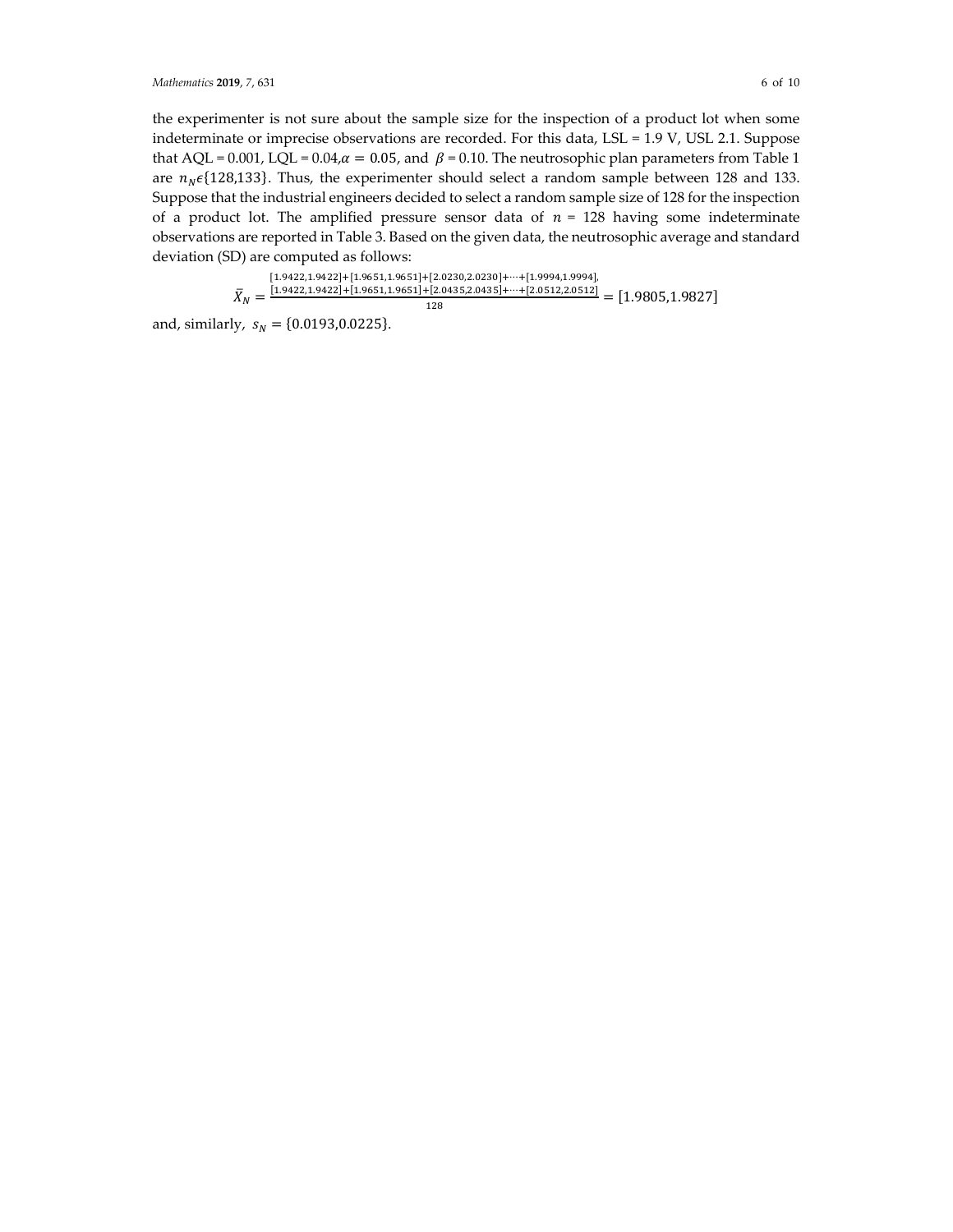the experimenter is not sure about the sample size for the inspection of a product lot when some indeterminate or imprecise observations are recorded. For this data, LSL = 1.9 V, USL 2.1. Suppose that AQL = 0.001, LQL = 0.04, $\alpha$  = 0.05, and  $\beta$  = 0.10. The neutrosophic plan parameters from Table 1 are  $n_N \epsilon$  {128,133}. Thus, the experimenter should select a random sample between 128 and 133. Suppose that the industrial engineers decided to select a random sample size of 128 for the inspection of a product lot. The amplified pressure sensor data of  $n = 128$  having some indeterminate observations are reported in Table 3. Based on the given data, the neutrosophic average and standard deviation (SD) are computed as follows:

> $\bar{X}_N = \frac{[1.9422, 1.9422] + [1.9651, 1.9651] + [2.0435, 2.0435] + \dots + [2.0512, 2.0512]}{128} = [1.9805, 1.9827]$  $[1.9422, 1.9422] + [1.9651, 1.9651] + [2.0230, 2.0230] + \cdots + [1.9994, 1.9994],$

and, similarly,  $s_N = \{0.0193, 0.0225\}.$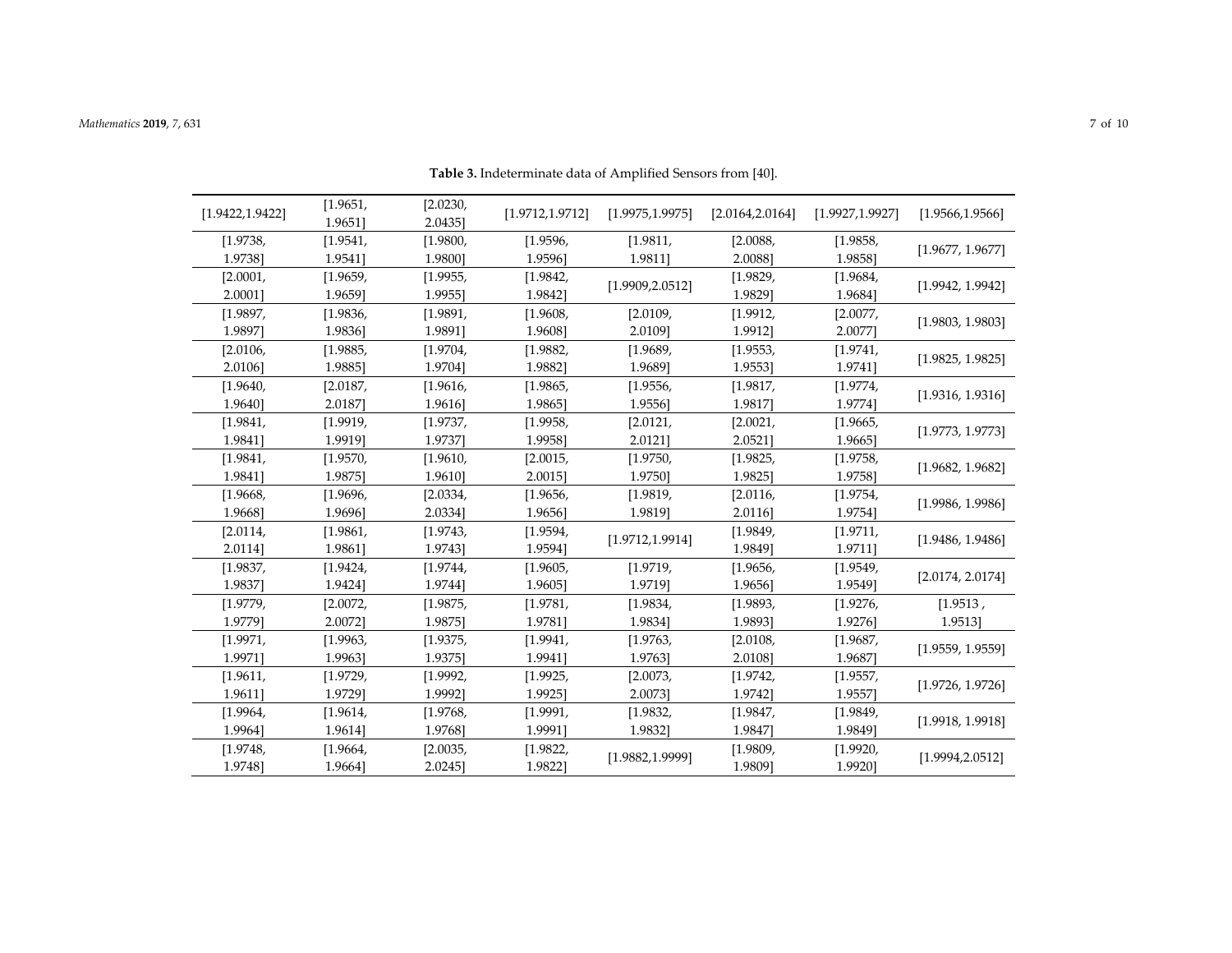| [1.9422, 1.9422] | [1.9651, | [2.0230, | [1.9712, 1.9712] | [1.9975, 1.9975]     | [2.0164, 2.0164] | [1.9927, 1.9927] | [1.9566, 1.9566] |  |
|------------------|----------|----------|------------------|----------------------|------------------|------------------|------------------|--|
|                  | 1.9651]  | 2.0435]  |                  |                      |                  |                  |                  |  |
| [1.9738,         | [1.9541, | [1.9800, | [1.9596,         | [1.9811,             | [2.0088,         | [1.9858,         | [1.9677, 1.9677] |  |
| 1.9738]          | 1.9541]  | 1.9800]  | 1.9596]          | 1.9811]              | 2.0088]          | 1.9858]          |                  |  |
| [2.0001,         | [1.9659, | [1.9955, | [1.9842,         | [1.9909, 2.0512]     | [1.9829,         | [1.9684,         | [1.9942, 1.9942] |  |
| 2.0001]          | 1.9659]  | 1.9955]  | 1.9842]          |                      | 1.9829]          | 1.9684]          |                  |  |
| [1.9897,         | [1.9836, | [1.9891, | [1.9608,         | [2.0109,             | [1.9912,         | [2.0077]         | [1.9803, 1.9803] |  |
| 1.9897]          | 1.9836]  | 1.9891]  | 1.9608]          | 2.0109]              | 1.9912]          | 2.0077]          |                  |  |
| [2.0106,         | [1.9885, | [1.9704, | [1.9882,         | [1.9689,<br>[1.9553, |                  | [1.9741,         |                  |  |
| 2.0106]          | 1.9885]  | 1.9704]  | 1.9882]          | 1.9689]              | 1.9553]          | 1.9741]          | [1.9825, 1.9825] |  |
| [1.9640,         | [2.0187, | [1.9616, | [1.9865,         | [1.9556,             | [1.9817,         | [1.9774,         |                  |  |
| 1.9640]          | 2.0187]  | 1.9616]  | 1.9865]          | 1.9556]              | 1.9817]          | 1.9774]          | [1.9316, 1.9316] |  |
| [1.9841,         | [1.9919, | [1.9737, | [1.9958,         | [2.0121,             | [2.0021]         | [1.9665,         | [1.9773, 1.9773] |  |
| 1.9841]          | 1.9919]  | 1.9737]  | 1.9958]          | 2.0121]              | 2.0521]          | 1.9665]          |                  |  |
| [1.9841,         | [1.9570, | [1.9610, | [2.0015,         | [1.9750,             | [1.9825,         | [1.9758,         |                  |  |
| 1.9841]          | 1.98751  | 1.9610]  | 2.0015]          | 1.9750]<br>1.9825]   |                  | 1.9758]          | [1.9682, 1.9682] |  |
| [1.9668,         | [1.9696, | [2.0334, | [1.9656,         | [1.9819,             | [2.0116,         | [1.9754,         | [1.9986, 1.9986] |  |
| 1.9668]          | 1.9696]  | 2.0334]  | 1.9656]          | 1.9819]              | 2.0116]          | 1.9754]          |                  |  |
| [2.0114,         | [1.9861, | [1.9743, | [1.9594,         |                      | [1.9849,         | [1.9711,         | [1.9486, 1.9486] |  |
| 2.0114]          | 1.9861]  | 1.9743]  | 1.9594]          | [1.9712, 1.9914]     | 1.9849]          | 1.9711]          |                  |  |
| [1.9837,         | [1.9424, | [1.9744, | [1.9605,         | [1.9719,             | [1.9656,         | [1.9549,         |                  |  |
| 1.9837]          | 1.9424]  | 1.9744]  | 1.9605]          | 1.97191              | 1.9656]          | 1.9549]          | [2.0174, 2.0174] |  |
| [1.9779,         | [2.0072, | [1.9875, | [1.9781,         | [1.9834,             | [1.9893,         | [1.9276,         | [1.9513]         |  |
| 1.9779]          | 2.0072]  | 1.9875]  | 1.9781]          | 1.9834]              | 1.9893]          | 1.9276]          | 1.9513]          |  |
| [1.9971,         | [1.9963, | [1.9375, | [1.9941,         | [1.9763]             | [2.0108,         | [1.9687,         | [1.9559, 1.9559] |  |
| 1.9971]          | 1.9963]  | 1.9375]  | 1.9941]          | 1.9763]              | 2.0108]          | 1.9687]          |                  |  |
| [1.9611,         | [1.9729, | [1.9992, | [1.9925,         | [2.0073]             | [1.9742,         | [1.9557,         | [1.9726, 1.9726] |  |
| 1.9611]          | 1.9729]  | 1.9992]  | 1.9925]          | 2.0073]              | 1.9742]          | 1.9557]          |                  |  |
| [1.9964,         | [1.9614, | [1.9768, | [1.9991,         | [1.9832,             | [1.9847,         | [1.9849,         | [1.9918, 1.9918] |  |
| 1.9964]          | 1.9614]  | 1.9768]  | 1.9991]          | 1.9832]              | 1.9847]          | 1.9849]          |                  |  |
| [1.9748,         | [1.9664, | [2.0035, | [1.9822,         |                      | [1.9809,         | [1.9920,         |                  |  |
| 1.9748]          | 1.9664]  | 2.0245]  | 1.9822]          | [1.9882, 1.9999]     | 1.9809]          | 1.99201          | [1.9994, 2.0512] |  |

**Table 3.** Indeterminate data of Amplified Sensors from [40].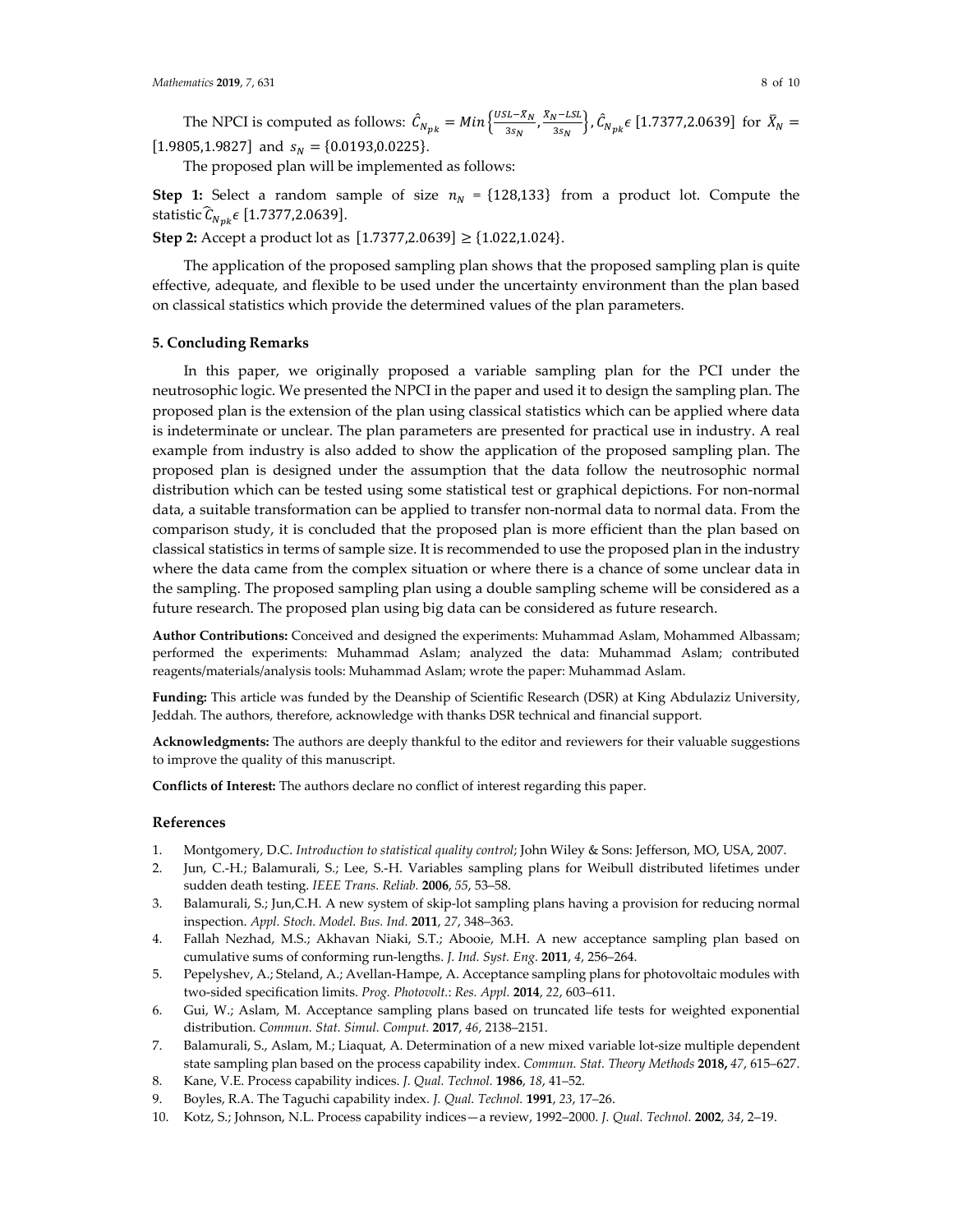The proposed plan will be implemented as follows:

**Step 1:** Select a random sample of size  $n_N = \{128,133\}$  from a product lot. Compute the statistic  $\widehat{C}_{N_{nk}} \epsilon$  [1.7377,2.0639].

**Step 2:** Accept a product lot as  $[1.7377,2.0639] \geq \{1.022,1.024\}.$ 

The application of the proposed sampling plan shows that the proposed sampling plan is quite effective, adequate, and flexible to be used under the uncertainty environment than the plan based on classical statistics which provide the determined values of the plan parameters.

## **5. Concluding Remarks**

In this paper, we originally proposed a variable sampling plan for the PCI under the neutrosophic logic. We presented the NPCI in the paper and used it to design the sampling plan. The proposed plan is the extension of the plan using classical statistics which can be applied where data is indeterminate or unclear. The plan parameters are presented for practical use in industry. A real example from industry is also added to show the application of the proposed sampling plan. The proposed plan is designed under the assumption that the data follow the neutrosophic normal distribution which can be tested using some statistical test or graphical depictions. For non-normal data, a suitable transformation can be applied to transfer non-normal data to normal data. From the comparison study, it is concluded that the proposed plan is more efficient than the plan based on classical statistics in terms of sample size. It is recommended to use the proposed plan in the industry where the data came from the complex situation or where there is a chance of some unclear data in the sampling. The proposed sampling plan using a double sampling scheme will be considered as a future research. The proposed plan using big data can be considered as future research.

**Author Contributions:** Conceived and designed the experiments: Muhammad Aslam, Mohammed Albassam; performed the experiments: Muhammad Aslam; analyzed the data: Muhammad Aslam; contributed reagents/materials/analysis tools: Muhammad Aslam; wrote the paper: Muhammad Aslam.

**Funding:** This article was funded by the Deanship of Scientific Research (DSR) at King Abdulaziz University, Jeddah. The authors, therefore, acknowledge with thanks DSR technical and financial support.

**Acknowledgments:** The authors are deeply thankful to the editor and reviewers for their valuable suggestions to improve the quality of this manuscript.

**Conflicts of Interest:** The authors declare no conflict of interest regarding this paper.

## **References**

- 1. Montgomery, D.C. *Introduction to statistical quality control*; John Wiley & Sons: Jefferson, MO, USA, 2007.
- 2. Jun, C.-H.; Balamurali, S.; Lee, S.-H. Variables sampling plans for Weibull distributed lifetimes under sudden death testing. *IEEE Trans. Reliab.* **2006**, *55*, 53–58.
- 3. Balamurali, S.; Jun,C.H. A new system of skip-lot sampling plans having a provision for reducing normal inspection. *Appl. Stoch. Model. Bus. Ind.* **2011**, *27*, 348–363.
- 4. Fallah Nezhad, M.S.; Akhavan Niaki, S.T.; Abooie, M.H. A new acceptance sampling plan based on cumulative sums of conforming run-lengths. *J. Ind. Syst. Eng.* **2011**, *4*, 256–264.
- 5. Pepelyshev, A.; Steland, A.; Avellan-Hampe, A. Acceptance sampling plans for photovoltaic modules with two-sided specification limits. *Prog. Photovolt.*: *Res. Appl.* **2014**, *22*, 603–611.
- 6. Gui, W.; Aslam, M. Acceptance sampling plans based on truncated life tests for weighted exponential distribution. *Commun. Stat. Simul. Comput.* **2017**, *46*, 2138–2151.
- 7. Balamurali, S., Aslam, M.; Liaquat, A. Determination of a new mixed variable lot-size multiple dependent state sampling plan based on the process capability index. *Commun. Stat. Theory Methods* **2018,** *47*, 615–627.
- 8. Kane, V.E. Process capability indices. *J. Qual. Technol.* **1986**, *18*, 41–52.
- 9. Boyles, R.A. The Taguchi capability index*. J. Qual. Technol.* **1991**, *23*, 17–26.
- 10. Kotz, S.; Johnson, N.L. Process capability indices—a review, 1992–2000. *J. Qual. Technol.* **2002**, *34*, 2–19.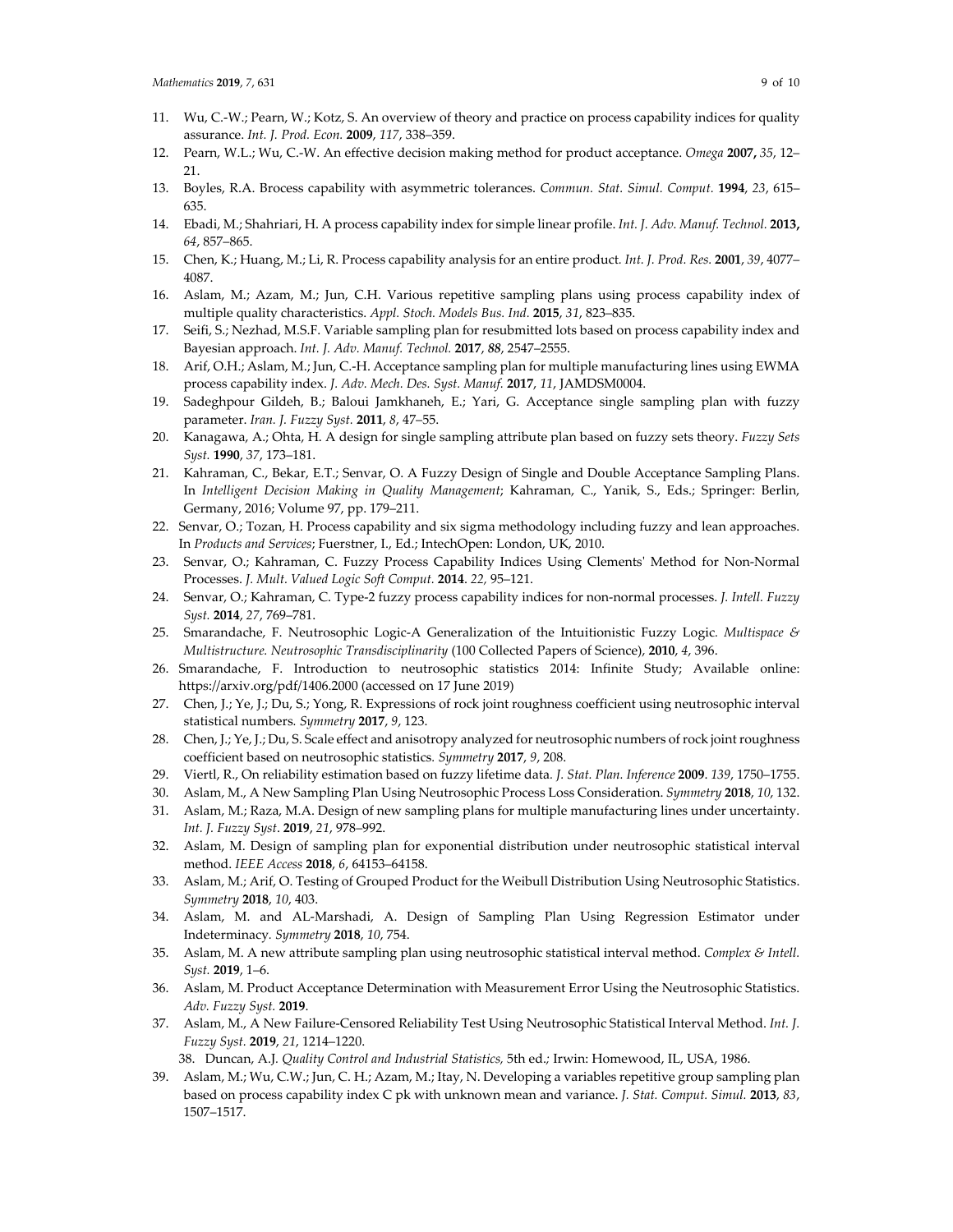- 11. Wu, C.-W.; Pearn, W.; Kotz, S. An overview of theory and practice on process capability indices for quality assurance. *Int. J. Prod. Econ.* **2009**, *117*, 338–359.
- 12. Pearn, W.L.; Wu, C.-W. An effective decision making method for product acceptance. *Omega* **2007,** *35*, 12– 21.
- 13. Boyles, R.A. Brocess capability with asymmetric tolerances. *Commun. Stat. Simul. Comput.* **1994**, *23*, 615– 635.
- 14. Ebadi, M.; Shahriari, H. A process capability index for simple linear profile. *Int. J. Adv. Manuf. Technol.* **2013,** *64*, 857–865.
- 15. Chen, K.; Huang, M.; Li, R. Process capability analysis for an entire product*. Int. J. Prod. Res.* **2001**, *39*, 4077– 4087.
- 16. Aslam, M.; Azam, M.; Jun, C.H. Various repetitive sampling plans using process capability index of multiple quality characteristics. *Appl. Stoch. Models Bus. Ind.* **2015**, *31*, 823–835.
- 17. Seifi, S.; Nezhad, M.S.F. Variable sampling plan for resubmitted lots based on process capability index and Bayesian approach. *Int. J. Adv. Manuf. Technol.* **2017**, *88*, 2547–2555.
- 18. Arif, O.H.; Aslam, M.; Jun, C.-H. Acceptance sampling plan for multiple manufacturing lines using EWMA process capability index. *J. Adv. Mech. Des. Syst. Manuf.* **2017**, *11*, JAMDSM0004.
- 19. Sadeghpour Gildeh, B.; Baloui Jamkhaneh, E.; Yari, G. Acceptance single sampling plan with fuzzy parameter. *Iran. J. Fuzzy Syst.* **2011**, *8*, 47–55.
- 20. Kanagawa, A.; Ohta, H. A design for single sampling attribute plan based on fuzzy sets theory. *Fuzzy Sets Syst.* **1990**, *37*, 173–181.
- 21. Kahraman, C., Bekar, E.T.; Senvar, O. A Fuzzy Design of Single and Double Acceptance Sampling Plans. In *Intelligent Decision Making in Quality Management*; Kahraman, C., Yanik, S., Eds.; Springer: Berlin, Germany, 2016; Volume 97, pp. 179–211.
- 22. Senvar, O.; Tozan, H. Process capability and six sigma methodology including fuzzy and lean approaches. In *Products and Services*; Fuerstner, I., Ed.; IntechOpen: London, UK, 2010.
- 23. Senvar, O.; Kahraman, C. Fuzzy Process Capability Indices Using Clements' Method for Non-Normal Processes. *J. Mult. Valued Logic Soft Comput.* **2014**. *22,* 95–121.
- 24. Senvar, O.; Kahraman, C. Type-2 fuzzy process capability indices for non-normal processes. *J. Intell. Fuzzy Syst.* **2014**, *27*, 769–781.
- 25. Smarandache, F. Neutrosophic Logic-A Generalization of the Intuitionistic Fuzzy Logic*. Multispace & Multistructure. Neutrosophic Transdisciplinarity* (100 Collected Papers of Science), **2010**, *4*, 396.
- 26. Smarandache, F. Introduction to neutrosophic statistics 2014: Infinite Study; Available online: https://arxiv.org/pdf/1406.2000 (accessed on 17 June 2019)
- 27. Chen, J.; Ye, J.; Du, S.; Yong, R. Expressions of rock joint roughness coefficient using neutrosophic interval statistical numbers*. Symmetry* **2017**, *9*, 123.
- 28. Chen, J.; Ye, J.; Du, S. Scale effect and anisotropy analyzed for neutrosophic numbers of rock joint roughness coefficient based on neutrosophic statistics*. Symmetry* **2017**, *9*, 208.
- 29. Viertl, R., On reliability estimation based on fuzzy lifetime data*. J. Stat. Plan. Inference* **2009**. *139*, 1750–1755.
- 30. Aslam, M., A New Sampling Plan Using Neutrosophic Process Loss Consideration. *Symmetry* **2018**, *10*, 132.
- 31. Aslam, M.; Raza, M.A. Design of new sampling plans for multiple manufacturing lines under uncertainty. *Int. J. Fuzzy Syst*. **2019**, *21*, 978–992.
- 32. Aslam, M. Design of sampling plan for exponential distribution under neutrosophic statistical interval method. *IEEE Access* **2018**, *6*, 64153–64158.
- 33. Aslam, M.; Arif, O. Testing of Grouped Product for the Weibull Distribution Using Neutrosophic Statistics. *Symmetry* **2018**, *10*, 403.
- 34. Aslam, M. and AL-Marshadi, A. Design of Sampling Plan Using Regression Estimator under Indeterminacy*. Symmetry* **2018**, *10*, 754.
- 35. Aslam, M. A new attribute sampling plan using neutrosophic statistical interval method. *Complex & Intell. Syst.* **2019**, 1–6.
- 36. Aslam, M. Product Acceptance Determination with Measurement Error Using the Neutrosophic Statistics. *Adv. Fuzzy Syst.* **2019**.
- 37. Aslam, M., A New Failure-Censored Reliability Test Using Neutrosophic Statistical Interval Method. *Int. J. Fuzzy Syst.* **2019**, *21*, 1214–1220.

38. Duncan, A.J*. Quality Control and Industrial Statistics,* 5th ed.*;* Irwin: Homewood, IL, USA, 1986.

39. Aslam, M.; Wu, C.W.; Jun, C. H.; Azam, M.; Itay, N. Developing a variables repetitive group sampling plan based on process capability index C pk with unknown mean and variance. *J. Stat. Comput. Simul.* **2013**, *83*, 1507–1517.